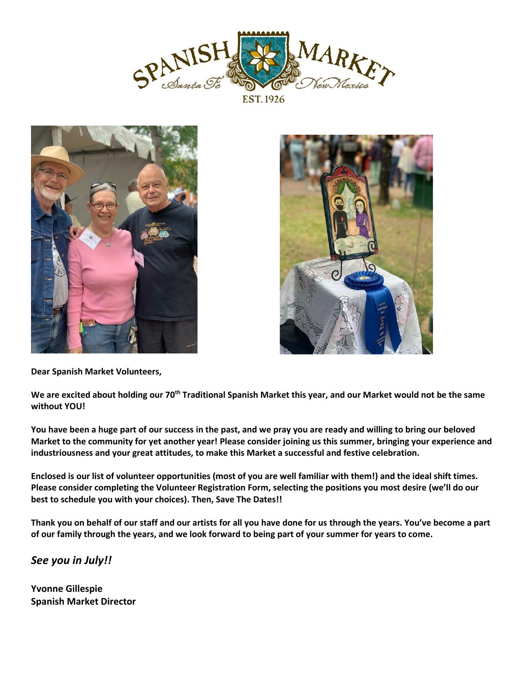





**Dear Spanish Market Volunteers,**

**We are excited about holding our 70th Traditional Spanish Market this year, and our Market would not be the same without YOU!**

**You have been a huge part of our success in the past, and we pray you are ready and willing to bring our beloved Market to the community for yet another year! Please consider joining us this summer, bringing your experience and industriousness and your great attitudes, to make this Market a successful and festive celebration.**

**Enclosed is our list of volunteer opportunities (most of you are well familiar with them!) and the ideal shift times. Please consider completing the Volunteer Registration Form, selecting the positions you most desire (we'll do our best to schedule you with your choices). Then, Save The Dates!!**

**Thank you on behalf of our staff and our artists for all you have done for us through the years. You've become a part of our family through the years, and we look forward to being part of your summer for years to come.**

*See you in July!!*

**Yvonne Gillespie Spanish Market Director**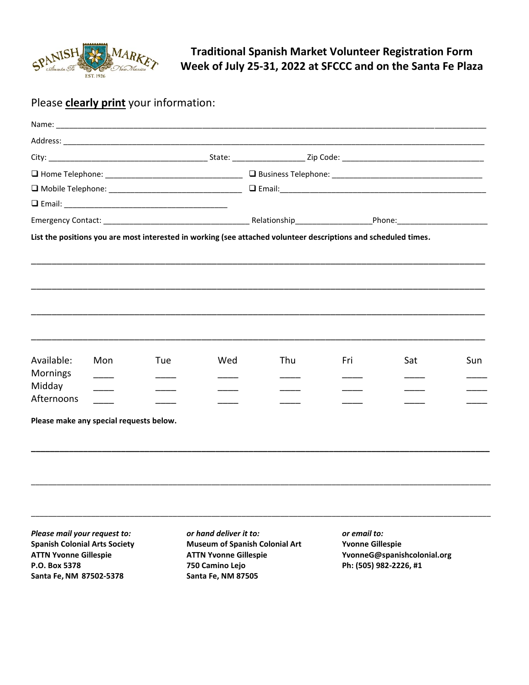

**Traditional Spanish Market Volunteer Registration Form Week of July 25-31, 2022 at SFCCC and on the Santa Fe Plaza**

## Please **clearly print** your information:

|                                                                                                                                                                     |     |                                                                                                                              | List the positions you are most interested in working (see attached volunteer descriptions and scheduled times. |                                         |                                                       |     |     |  |
|---------------------------------------------------------------------------------------------------------------------------------------------------------------------|-----|------------------------------------------------------------------------------------------------------------------------------|-----------------------------------------------------------------------------------------------------------------|-----------------------------------------|-------------------------------------------------------|-----|-----|--|
| Available:<br>Mornings                                                                                                                                              | Mon | Tue                                                                                                                          | Wed                                                                                                             | Thu                                     | Fri                                                   | Sat | Sun |  |
| Midday<br>Afternoons                                                                                                                                                |     |                                                                                                                              |                                                                                                                 |                                         |                                                       |     |     |  |
| Please make any special requests below.                                                                                                                             |     |                                                                                                                              |                                                                                                                 |                                         |                                                       |     |     |  |
| Please mail your request to:<br><b>Spanish Colonial Arts Society</b><br><b>ATTN Yvonne Gillespie</b><br>P.O. Box 5378<br>750 Camino Lejo<br>Santa Fe, NM 87502-5378 |     | or hand deliver it to:<br><b>Museum of Spanish Colonial Art</b><br><b>ATTN Yvonne Gillespie</b><br><b>Santa Fe, NM 87505</b> |                                                                                                                 | or email to:<br><b>Yvonne Gillespie</b> | YvonneG@spanishcolonial.org<br>Ph: (505) 982-2226, #1 |     |     |  |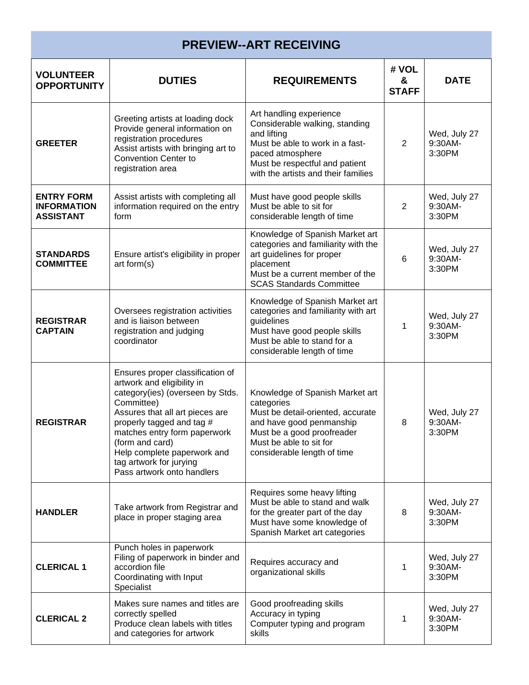| <b>PREVIEW--ART RECEIVING</b>                               |                                                                                                                                                                                                                                                                                                                             |                                                                                                                                                                                                          |                            |                                   |  |  |
|-------------------------------------------------------------|-----------------------------------------------------------------------------------------------------------------------------------------------------------------------------------------------------------------------------------------------------------------------------------------------------------------------------|----------------------------------------------------------------------------------------------------------------------------------------------------------------------------------------------------------|----------------------------|-----------------------------------|--|--|
| <b>VOLUNTEER</b><br><b>OPPORTUNITY</b>                      | <b>DUTIES</b>                                                                                                                                                                                                                                                                                                               | <b>REQUIREMENTS</b>                                                                                                                                                                                      | # VOL<br>&<br><b>STAFF</b> | <b>DATE</b>                       |  |  |
| <b>GREETER</b>                                              | Greeting artists at loading dock<br>Provide general information on<br>registration procedures<br>Assist artists with bringing art to<br><b>Convention Center to</b><br>registration area                                                                                                                                    | Art handling experience<br>Considerable walking, standing<br>and lifting<br>Must be able to work in a fast-<br>paced atmosphere<br>Must be respectful and patient<br>with the artists and their families | 2                          | Wed, July 27<br>9:30AM-<br>3:30PM |  |  |
| <b>ENTRY FORM</b><br><b>INFORMATION</b><br><b>ASSISTANT</b> | Assist artists with completing all<br>information required on the entry<br>form                                                                                                                                                                                                                                             | Must have good people skills<br>Must be able to sit for<br>considerable length of time                                                                                                                   | $\overline{2}$             | Wed, July 27<br>9:30AM-<br>3:30PM |  |  |
| <b>STANDARDS</b><br><b>COMMITTEE</b>                        | Ensure artist's eligibility in proper<br>art form(s)                                                                                                                                                                                                                                                                        | Knowledge of Spanish Market art<br>categories and familiarity with the<br>art guidelines for proper<br>placement<br>Must be a current member of the<br><b>SCAS Standards Committee</b>                   | 6                          | Wed, July 27<br>9:30AM-<br>3:30PM |  |  |
| <b>REGISTRAR</b><br><b>CAPTAIN</b>                          | Oversees registration activities<br>and is liaison between<br>registration and judging<br>coordinator                                                                                                                                                                                                                       | Knowledge of Spanish Market art<br>categories and familiarity with art<br>guidelines<br>Must have good people skills<br>Must be able to stand for a<br>considerable length of time                       | 1                          | Wed, July 27<br>9:30AM-<br>3:30PM |  |  |
| <b>REGISTRAR</b>                                            | Ensures proper classification of<br>artwork and eligibility in<br>category(ies) (overseen by Stds.<br>Committee)<br>Assures that all art pieces are<br>properly tagged and tag #<br>matches entry form paperwork<br>(form and card)<br>Help complete paperwork and<br>tag artwork for jurying<br>Pass artwork onto handlers | Knowledge of Spanish Market art<br>categories<br>Must be detail-oriented, accurate<br>and have good penmanship<br>Must be a good proofreader<br>Must be able to sit for<br>considerable length of time   | 8                          | Wed, July 27<br>9:30AM-<br>3:30PM |  |  |
| <b>HANDLER</b>                                              | Take artwork from Registrar and<br>place in proper staging area                                                                                                                                                                                                                                                             | Requires some heavy lifting<br>Must be able to stand and walk<br>for the greater part of the day<br>Must have some knowledge of<br>Spanish Market art categories                                         | 8                          | Wed, July 27<br>9:30AM-<br>3:30PM |  |  |
| <b>CLERICAL 1</b>                                           | Punch holes in paperwork<br>Filing of paperwork in binder and<br>accordion file<br>Coordinating with Input<br>Specialist                                                                                                                                                                                                    | Requires accuracy and<br>organizational skills                                                                                                                                                           | 1                          | Wed, July 27<br>9:30AM-<br>3:30PM |  |  |
| <b>CLERICAL 2</b>                                           | Makes sure names and titles are<br>correctly spelled<br>Produce clean labels with titles<br>and categories for artwork                                                                                                                                                                                                      | Good proofreading skills<br>Accuracy in typing<br>Computer typing and program<br>skills                                                                                                                  | 1                          | Wed, July 27<br>9:30AM-<br>3:30PM |  |  |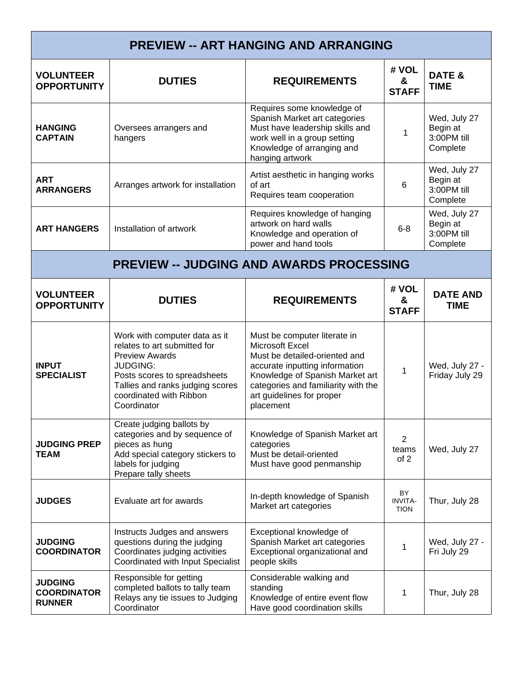| <b>PREVIEW -- ART HANGING AND ARRANGING</b>           |                                                                                                                                                                                                                         |                                                                                                                                                                                                                                        |                                            |                                                     |  |  |
|-------------------------------------------------------|-------------------------------------------------------------------------------------------------------------------------------------------------------------------------------------------------------------------------|----------------------------------------------------------------------------------------------------------------------------------------------------------------------------------------------------------------------------------------|--------------------------------------------|-----------------------------------------------------|--|--|
| <b>VOLUNTEER</b><br><b>OPPORTUNITY</b>                | <b>DUTIES</b>                                                                                                                                                                                                           | <b>REQUIREMENTS</b>                                                                                                                                                                                                                    | # VOL<br>&<br><b>STAFF</b>                 | DATE &<br><b>TIME</b>                               |  |  |
| <b>HANGING</b><br><b>CAPTAIN</b>                      | Oversees arrangers and<br>hangers                                                                                                                                                                                       | Requires some knowledge of<br>Spanish Market art categories<br>Must have leadership skills and<br>work well in a group setting<br>Knowledge of arranging and<br>hanging artwork                                                        | $\mathbf 1$                                | Wed, July 27<br>Begin at<br>3:00PM till<br>Complete |  |  |
| <b>ART</b><br><b>ARRANGERS</b>                        | Arranges artwork for installation                                                                                                                                                                                       | Artist aesthetic in hanging works<br>of art<br>Requires team cooperation                                                                                                                                                               | 6                                          | Wed, July 27<br>Begin at<br>3:00PM till<br>Complete |  |  |
| <b>ART HANGERS</b>                                    | Installation of artwork                                                                                                                                                                                                 | Requires knowledge of hanging<br>artwork on hard walls<br>Knowledge and operation of<br>power and hand tools                                                                                                                           | $6 - 8$                                    | Wed, July 27<br>Begin at<br>3:00PM till<br>Complete |  |  |
| <b>PREVIEW -- JUDGING AND AWARDS PROCESSING</b>       |                                                                                                                                                                                                                         |                                                                                                                                                                                                                                        |                                            |                                                     |  |  |
| <b>VOLUNTEER</b><br><b>OPPORTUNITY</b>                | <b>DUTIES</b>                                                                                                                                                                                                           | <b>REQUIREMENTS</b>                                                                                                                                                                                                                    | # VOL<br>&<br><b>STAFF</b>                 | <b>DATE AND</b><br><b>TIME</b>                      |  |  |
| <b>INPUT</b><br><b>SPECIALIST</b>                     | Work with computer data as it<br>relates to art submitted for<br><b>Preview Awards</b><br><b>JUDGING:</b><br>Posts scores to spreadsheets<br>Tallies and ranks judging scores<br>coordinated with Ribbon<br>Coordinator | Must be computer literate in<br>Microsoft Excel<br>Must be detailed-oriented and<br>accurate inputting information<br>Knowledge of Spanish Market art<br>categories and familiarity with the<br>art guidelines for proper<br>placement | 1                                          | Wed, July 27 -<br>Friday July 29                    |  |  |
| <b>JUDGING PREP</b><br><b>TEAM</b>                    | Create judging ballots by<br>categories and by sequence of<br>pieces as hung<br>Add special category stickers to<br>labels for judging<br>Prepare tally sheets                                                          | Knowledge of Spanish Market art<br>categories<br>Must be detail-oriented<br>Must have good penmanship                                                                                                                                  | 2<br>teams<br>of 2                         | Wed, July 27                                        |  |  |
| <b>JUDGES</b>                                         | Evaluate art for awards                                                                                                                                                                                                 | In-depth knowledge of Spanish<br>Market art categories                                                                                                                                                                                 | <b>BY</b><br><b>INVITA-</b><br><b>TION</b> | Thur, July 28                                       |  |  |
| <b>JUDGING</b><br><b>COORDINATOR</b>                  | Instructs Judges and answers<br>questions during the judging<br>Coordinates judging activities<br>Coordinated with Input Specialist                                                                                     | Exceptional knowledge of<br>Spanish Market art categories<br>Exceptional organizational and<br>people skills                                                                                                                           | 1                                          | Wed, July 27 -<br>Fri July 29                       |  |  |
| <b>JUDGING</b><br><b>COORDINATOR</b><br><b>RUNNER</b> | Responsible for getting<br>completed ballots to tally team<br>Relays any tie issues to Judging<br>Coordinator                                                                                                           | Considerable walking and<br>standing<br>Knowledge of entire event flow<br>Have good coordination skills                                                                                                                                | 1                                          | Thur, July 28                                       |  |  |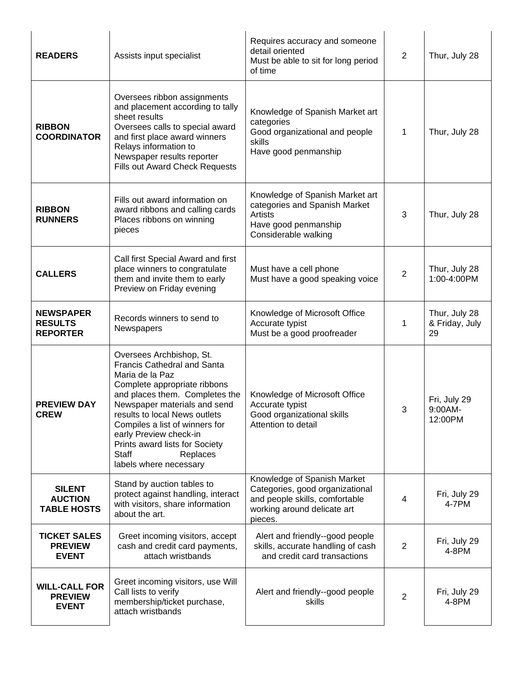| <b>READERS</b>                                         | Assists input specialist                                                                                                                                                                                                                                                                                                                                          | Requires accuracy and someone<br>detail oriented<br>Must be able to sit for long period<br>of time                                         | 2              | Thur, July 28                         |
|--------------------------------------------------------|-------------------------------------------------------------------------------------------------------------------------------------------------------------------------------------------------------------------------------------------------------------------------------------------------------------------------------------------------------------------|--------------------------------------------------------------------------------------------------------------------------------------------|----------------|---------------------------------------|
| <b>RIBBON</b><br><b>COORDINATOR</b>                    | Oversees ribbon assignments<br>and placement according to tally<br>sheet results<br>Oversees calls to special award<br>and first place award winners<br>Relays information to<br>Newspaper results reporter<br><b>Fills out Award Check Requests</b>                                                                                                              | Knowledge of Spanish Market art<br>categories<br>Good organizational and people<br>skills<br>Have good penmanship                          | $\mathbf 1$    | Thur, July 28                         |
| <b>RIBBON</b><br><b>RUNNERS</b>                        | Fills out award information on<br>award ribbons and calling cards<br>Places ribbons on winning<br>pieces                                                                                                                                                                                                                                                          | Knowledge of Spanish Market art<br>categories and Spanish Market<br><b>Artists</b><br>Have good penmanship<br>Considerable walking         | 3              | Thur, July 28                         |
| <b>CALLERS</b>                                         | Call first Special Award and first<br>place winners to congratulate<br>them and invite them to early<br>Preview on Friday evening                                                                                                                                                                                                                                 | Must have a cell phone<br>Must have a good speaking voice                                                                                  | 2              | Thur, July 28<br>1:00-4:00PM          |
| <b>NEWSPAPER</b><br><b>RESULTS</b><br><b>REPORTER</b>  | Records winners to send to<br>Newspapers                                                                                                                                                                                                                                                                                                                          | Knowledge of Microsoft Office<br>Accurate typist<br>Must be a good proofreader                                                             | 1              | Thur, July 28<br>& Friday, July<br>29 |
| <b>PREVIEW DAY</b><br><b>CREW</b>                      | Oversees Archbishop, St.<br><b>Francis Cathedral and Santa</b><br>Maria de la Paz<br>Complete appropriate ribbons<br>and places them. Completes the<br>Newspaper materials and send<br>results to local News outlets<br>Compiles a list of winners for<br>early Preview check-in<br>Prints award lists for Society<br>Staff<br>Replaces<br>labels where necessary | Knowledge of Microsoft Office<br>Accurate typist<br>Good organizational skills<br>Attention to detail                                      | 3              | Fri, July 29<br>9:00AM-<br>12:00PM    |
| <b>SILENT</b><br><b>AUCTION</b><br><b>TABLE HOSTS</b>  | Stand by auction tables to<br>protect against handling, interact<br>with visitors, share information<br>about the art.                                                                                                                                                                                                                                            | Knowledge of Spanish Market<br>Categories, good organizational<br>and people skills, comfortable<br>working around delicate art<br>pieces. | 4              | Fri, July 29<br>4-7PM                 |
| <b>TICKET SALES</b><br><b>PREVIEW</b><br><b>EVENT</b>  | Greet incoming visitors, accept<br>cash and credit card payments,<br>attach wristbands                                                                                                                                                                                                                                                                            | Alert and friendly--good people<br>skills, accurate handling of cash<br>and credit card transactions                                       | $\overline{2}$ | Fri, July 29<br>4-8PM                 |
| <b>WILL-CALL FOR</b><br><b>PREVIEW</b><br><b>EVENT</b> | Greet incoming visitors, use Will<br>Call lists to verify<br>membership/ticket purchase,<br>attach wristbands                                                                                                                                                                                                                                                     | Alert and friendly--good people<br>skills                                                                                                  | $\overline{2}$ | Fri, July 29<br>4-8PM                 |